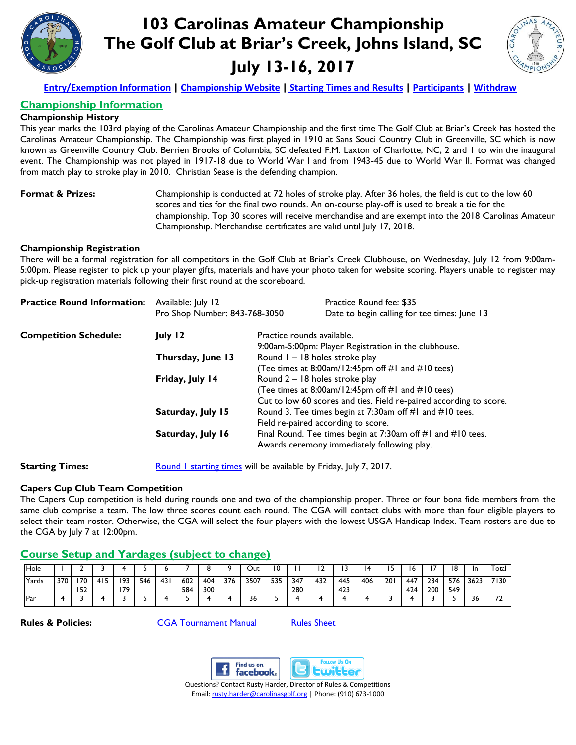

# **103 Carolinas Amateur Championship The Golf Club at Briar's Creek, Johns Island, SC July 13-16, 2017**



**[Entry/Exemption Information](http://www.carolinasgolf.org/images/carolinasgolf/site/tourn/2017/entry/am.pdf) | [Championship Website](http://www.carolinasgolf.org/amateur) | [Starting Times and Results](https://www.golfgenius.com/pages/1065499) | [Participants](https://www.golfgenius.com/pages/1065500) [| Withdraw](http://www.carolinasgolf.org/tournament_withdraw)**

### **Championship Information**

#### **Championship History**

This year marks the 103rd playing of the Carolinas Amateur Championship and the first time The Golf Club at Briar's Creek has hosted the Carolinas Amateur Championship. The Championship was first played in 1910 at Sans Souci Country Club in Greenville, SC which is now known as Greenville Country Club. Berrien Brooks of Columbia, SC defeated F.M. Laxton of Charlotte, NC, 2 and 1 to win the inaugural event. The Championship was not played in 1917-18 due to World War I and from 1943-45 due to World War II. Format was changed from match play to stroke play in 2010. Christian Sease is the defending champion.

**Format & Prizes:** Championship is conducted at 72 holes of stroke play. After 36 holes, the field is cut to the low 60 scores and ties for the final two rounds. An on-course play-off is used to break a tie for the championship. Top 30 scores will receive merchandise and are exempt into the 2018 Carolinas Amateur Championship. Merchandise certificates are valid until July 17, 2018.

#### **Championship Registration**

There will be a formal registration for all competitors in the Golf Club at Briar's Creek Clubhouse, on Wednesday, July 12 from 9:00am-5:00pm. Please register to pick up your player gifts, materials and have your photo taken for website scoring. Players unable to register may pick-up registration materials following their first round at the scoreboard.

| <b>Practice Round Information:</b> | Available: July 12            |                                                                                    | Practice Round fee: \$35<br>Date to begin calling for tee times: June 13                                                                                  |  |  |  |  |
|------------------------------------|-------------------------------|------------------------------------------------------------------------------------|-----------------------------------------------------------------------------------------------------------------------------------------------------------|--|--|--|--|
|                                    | Pro Shop Number: 843-768-3050 |                                                                                    |                                                                                                                                                           |  |  |  |  |
| <b>Competition Schedule:</b>       | July 12                       | Practice rounds available.<br>9:00am-5:00pm: Player Registration in the clubhouse. |                                                                                                                                                           |  |  |  |  |
|                                    | Thursday, June 13             |                                                                                    | Round I - 18 holes stroke play<br>(Tee times at 8:00am/12:45pm off #1 and #10 tees)                                                                       |  |  |  |  |
|                                    | Friday, July 14               |                                                                                    | Round 2 - 18 holes stroke play<br>(Tee times at 8:00am/12:45pm off #1 and #10 tees)<br>Cut to low 60 scores and ties. Field re-paired according to score. |  |  |  |  |
|                                    | Saturday, July 15             |                                                                                    | Round 3. Tee times begin at 7:30am off #1 and #10 tees.<br>Field re-paired according to score.                                                            |  |  |  |  |
|                                    | Saturday, July 16             |                                                                                    | Final Round. Tee times begin at 7:30am off #1 and #10 tees.<br>Awards ceremony immediately following play.                                                |  |  |  |  |

**Starting Times:** [Round 1 starting times](https://www.golfgenius.com/pages/1065499) will be available by Friday, July 7, 2017.

#### **Capers Cup Club Team Competition**

The Capers Cup competition is held during rounds one and two of the championship proper. Three or four bona fide members from the same club comprise a team. The low three scores count each round. The CGA will contact clubs with more than four eligible players to select their team roster. Otherwise, the CGA will select the four players with the lowest USGA Handicap Index. Team rosters are due to the CGA by July 7 at 12:00pm.

#### **Course Setup and Yardages (subject to change)**

| <b>Hole</b> |     |            |     |           |     |     |            |            |     | Out  | v   |            |     |            |     |     |            |            | 18         | In   | Total      |
|-------------|-----|------------|-----|-----------|-----|-----|------------|------------|-----|------|-----|------------|-----|------------|-----|-----|------------|------------|------------|------|------------|
| Yards       | 370 | 170<br>152 | 415 | 193<br>70 | 546 | 431 | 602<br>584 | 404<br>300 | 376 | 3507 | 535 | 347<br>280 | 432 | 445<br>423 | 406 | 201 | 447<br>424 | 234<br>200 | 576<br>549 | 3623 | 7130       |
| Par         |     |            |     |           |     |     |            |            |     | 56   |     |            |     |            |     |     |            |            |            | 56   | $-$<br>. . |

**Rules & Policies: [CGA Tournament Manual](http://www.carolinasgolf.org/images/carolinasgolf/site/tourn/tournamentmanual.pdf)** [Rules Sheet](https://www.carolinasgolf.org/images/carolinasgolf/site/rules/rulessheetscarolinasam.pdf)





 Questions? Contact Rusty Harder, Director of Rules & Competitions Email: [rusty.harder@carolinasgolf.org](mailto:rusty.harder@carolinasgolf.org) | Phone: (910) 673-1000